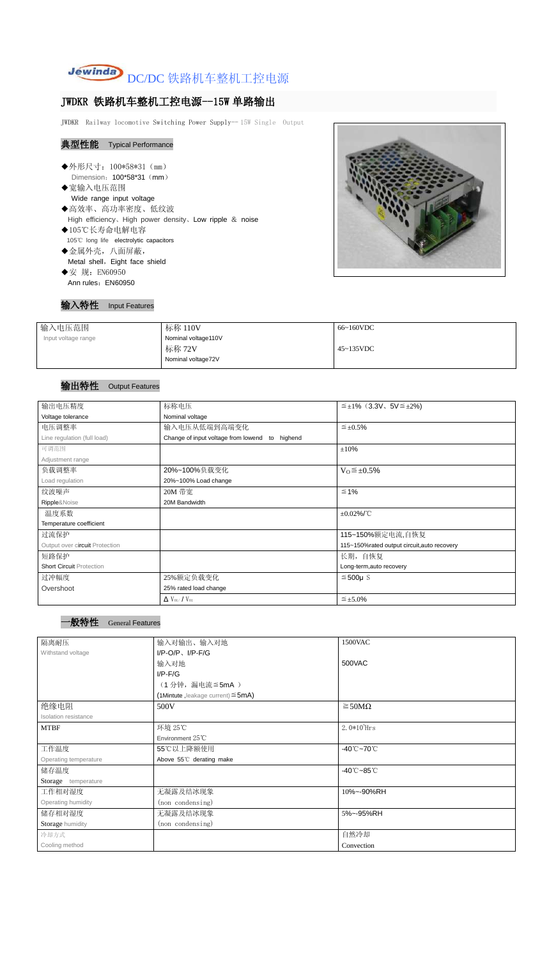

# JWDKR 铁路机车整机工控电源--15W 单路输出

JWDKR Railway locomotive Switching Power Supply-- 15W Single Output

# 典型性能 Typical Performance

◆外形尺寸: 100\*58\*31 (mm) Dimension: 100\*58\*31 (mm) ◆宽输入电压范围 Wide range input voltage ◆高效率、高功率密度、低纹波 High efficiency、High power density、Low ripple & noise ◆105℃长寿命电解电容 105℃ long life electrolytic capacitors

- ◆金属外壳,八面屏蔽, Metal shell, Eight face shield
- ◆安 规: EN60950 Ann rules: EN60950



# 输入特性 Input Features

| 标称 110V             | 66~160VDC         |
|---------------------|-------------------|
| Nominal voltage110V |                   |
| 标称 72V              | $45 \sim 135$ VDC |
| Nominal voltage72V  |                   |
|                     |                   |

# 输出特性 Output Features

# 一般特性 General Features

| 输出电压精度                          | 标称电压                                           | $\leq \pm 1\%$ (3.3V, 5V $\leq \pm 2\%$ ) |  |  |
|---------------------------------|------------------------------------------------|-------------------------------------------|--|--|
| Voltage tolerance               | Nominal voltage                                |                                           |  |  |
| 电压调整率                           | 输入电压从低端到高端变化                                   | $\leq \pm 0.5\%$                          |  |  |
| Line regulation (full load)     | Change of input voltage from lowend to highend |                                           |  |  |
| 可调范围                            |                                                | ±10%                                      |  |  |
| Adjustment range                |                                                |                                           |  |  |
| 负载调整率                           | 20%~100%负载变化                                   | $V_0 \leq \pm 0.5\%$                      |  |  |
| Load regulation                 | 20%~100% Load change                           |                                           |  |  |
| 纹波噪声                            | 20M 带宽                                         | $\leq 1\%$                                |  |  |
| Ripple&Noise                    | 20M Bandwidth                                  |                                           |  |  |
| 温度系数                            |                                                | $\pm 0.02\%$ /°C                          |  |  |
| Temperature coefficient         |                                                |                                           |  |  |
| 过流保护                            |                                                | 115~150%额定电流,自恢复                          |  |  |
| Output over circuit Protection  | 115~150%rated output circuit, auto recovery    |                                           |  |  |
| 短路保护                            |                                                | 长期,自恢复                                    |  |  |
| <b>Short Circuit Protection</b> |                                                | Long-term, auto recovery                  |  |  |
| 过冲幅度                            | 25%额定负载变化                                      | $≤500µ$ S                                 |  |  |
| Overshoot                       | 25% rated load change                          |                                           |  |  |
|                                 | $\Delta$ V <sub>01</sub> /V <sub>01</sub>      | $\leq \pm 5.0\%$                          |  |  |

| 隔离耐压                  | 输入对输出、输入对地                              | 1500VAC                         |  |  |
|-----------------------|-----------------------------------------|---------------------------------|--|--|
| Withstand voltage     | $I/P-O/P$ , $I/P-F/G$                   |                                 |  |  |
|                       | 输入对地                                    | 500VAC                          |  |  |
|                       | $I/P-F/G$                               |                                 |  |  |
|                       | (1分钟,漏电流≦5mA)                           |                                 |  |  |
|                       | (1Mintute, leakage current) $\leq$ 5mA) |                                 |  |  |
| 绝缘电阻                  | 500V                                    | $\geq$ 50M $\Omega$             |  |  |
| Isolation resistance  |                                         |                                 |  |  |
| <b>MTBF</b>           | 环境 25℃                                  | $2.0*105$ Hrs                   |  |  |
|                       | Environment $25^{\circ}$ C              |                                 |  |  |
| 工作温度                  | 55℃以上降额使用                               | -40 $°C$ ~70 $°C$               |  |  |
| Operating temperature | Above 55°C derating make                |                                 |  |  |
| 储存温度                  |                                         | $-40^{\circ}$ C $-85^{\circ}$ C |  |  |
| Storage temperature   |                                         |                                 |  |  |
| 工作相对湿度                | 无凝露及结冰现象                                | 10%~-90%RH                      |  |  |
| Operating humidity    | (non condensing)                        |                                 |  |  |
| 储存相对湿度                | 无凝露及结冰现象                                | 5%~-95%RH                       |  |  |
| Storage humidity      | (non condensing)                        |                                 |  |  |
| 冷却方式                  |                                         | 自然冷却                            |  |  |
| Cooling method        |                                         | Convection                      |  |  |